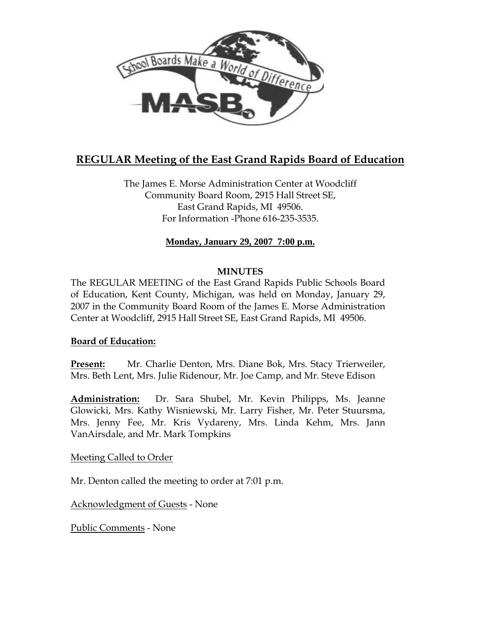

# **REGULAR Meeting of the East Grand Rapids Board of Education**

The James E. Morse Administration Center at Woodcliff Community Board Room, 2915 Hall Street SE, East Grand Rapids, MI 49506. For Information -Phone 616-235-3535.

# **Monday, January 29, 2007 7:00 p.m.**

### **MINUTES**

The REGULAR MEETING of the East Grand Rapids Public Schools Board of Education, Kent County, Michigan, was held on Monday, January 29, 2007 in the Community Board Room of the James E. Morse Administration Center at Woodcliff, 2915 Hall Street SE, East Grand Rapids, MI 49506.

### **Board of Education:**

**Present:** Mr. Charlie Denton, Mrs. Diane Bok, Mrs. Stacy Trierweiler, Mrs. Beth Lent, Mrs. Julie Ridenour, Mr. Joe Camp, and Mr. Steve Edison

**Administration:** Dr. Sara Shubel, Mr. Kevin Philipps, Ms. Jeanne Glowicki, Mrs. Kathy Wisniewski, Mr. Larry Fisher, Mr. Peter Stuursma, Mrs. Jenny Fee, Mr. Kris Vydareny, Mrs. Linda Kehm, Mrs. Jann VanAirsdale, and Mr. Mark Tompkins

### Meeting Called to Order

Mr. Denton called the meeting to order at 7:01 p.m.

Acknowledgment of Guests - None

Public Comments - None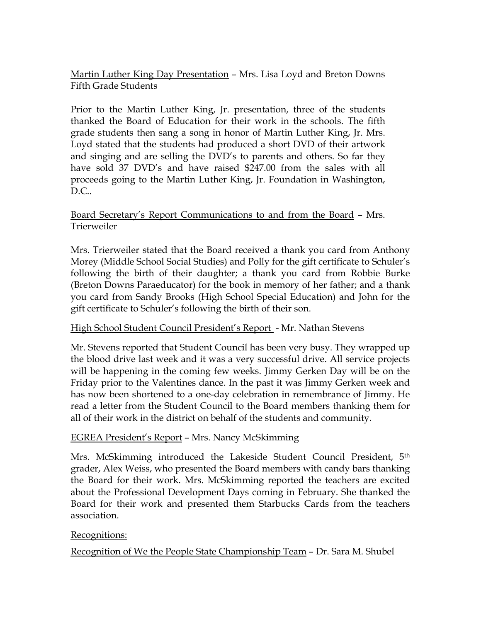Martin Luther King Day Presentation – Mrs. Lisa Loyd and Breton Downs Fifth Grade Students

Prior to the Martin Luther King, Jr. presentation, three of the students thanked the Board of Education for their work in the schools. The fifth grade students then sang a song in honor of Martin Luther King, Jr. Mrs. Loyd stated that the students had produced a short DVD of their artwork and singing and are selling the DVD's to parents and others. So far they have sold 37 DVD's and have raised \$247.00 from the sales with all proceeds going to the Martin Luther King, Jr. Foundation in Washington,  $D.C.$ 

Board Secretary's Report Communications to and from the Board – Mrs. Trierweiler

Mrs. Trierweiler stated that the Board received a thank you card from Anthony Morey (Middle School Social Studies) and Polly for the gift certificate to Schuler's following the birth of their daughter; a thank you card from Robbie Burke (Breton Downs Paraeducator) for the book in memory of her father; and a thank you card from Sandy Brooks (High School Special Education) and John for the gift certificate to Schuler's following the birth of their son.

# High School Student Council President's Report - Mr. Nathan Stevens

Mr. Stevens reported that Student Council has been very busy. They wrapped up the blood drive last week and it was a very successful drive. All service projects will be happening in the coming few weeks. Jimmy Gerken Day will be on the Friday prior to the Valentines dance. In the past it was Jimmy Gerken week and has now been shortened to a one-day celebration in remembrance of Jimmy. He read a letter from the Student Council to the Board members thanking them for all of their work in the district on behalf of the students and community.

### EGREA President's Report – Mrs. Nancy McSkimming

Mrs. McSkimming introduced the Lakeside Student Council President, 5th grader, Alex Weiss, who presented the Board members with candy bars thanking the Board for their work. Mrs. McSkimming reported the teachers are excited about the Professional Development Days coming in February. She thanked the Board for their work and presented them Starbucks Cards from the teachers association.

### Recognitions:

Recognition of We the People State Championship Team – Dr. Sara M. Shubel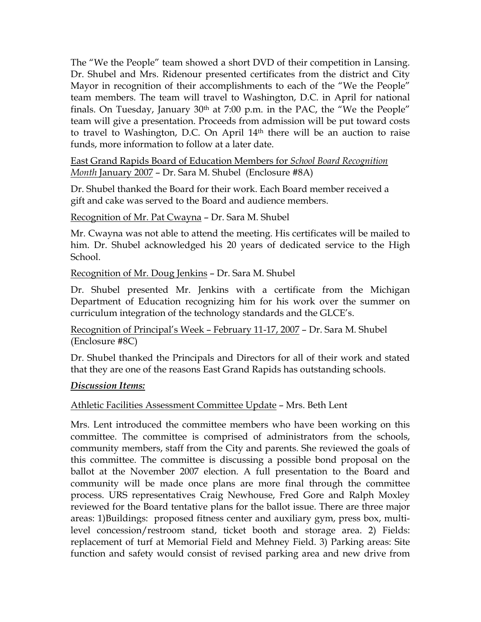The "We the People" team showed a short DVD of their competition in Lansing. Dr. Shubel and Mrs. Ridenour presented certificates from the district and City Mayor in recognition of their accomplishments to each of the "We the People" team members. The team will travel to Washington, D.C. in April for national finals. On Tuesday, January 30th at 7:00 p.m. in the PAC, the "We the People" team will give a presentation. Proceeds from admission will be put toward costs to travel to Washington, D.C. On April 14th there will be an auction to raise funds, more information to follow at a later date.

East Grand Rapids Board of Education Members for *School Board Recognition Month* January 2007 – Dr. Sara M. Shubel (Enclosure #8A)

Dr. Shubel thanked the Board for their work. Each Board member received a gift and cake was served to the Board and audience members.

Recognition of Mr. Pat Cwayna – Dr. Sara M. Shubel

Mr. Cwayna was not able to attend the meeting. His certificates will be mailed to him. Dr. Shubel acknowledged his 20 years of dedicated service to the High School.

Recognition of Mr. Doug Jenkins – Dr. Sara M. Shubel

Dr. Shubel presented Mr. Jenkins with a certificate from the Michigan Department of Education recognizing him for his work over the summer on curriculum integration of the technology standards and the GLCE's.

Recognition of Principal's Week – February 11-17, 2007 – Dr. Sara M. Shubel (Enclosure #8C)

Dr. Shubel thanked the Principals and Directors for all of their work and stated that they are one of the reasons East Grand Rapids has outstanding schools.

# *Discussion Items:*

# Athletic Facilities Assessment Committee Update – Mrs. Beth Lent

Mrs. Lent introduced the committee members who have been working on this committee. The committee is comprised of administrators from the schools, community members, staff from the City and parents. She reviewed the goals of this committee. The committee is discussing a possible bond proposal on the ballot at the November 2007 election. A full presentation to the Board and community will be made once plans are more final through the committee process. URS representatives Craig Newhouse, Fred Gore and Ralph Moxley reviewed for the Board tentative plans for the ballot issue. There are three major areas: 1)Buildings: proposed fitness center and auxiliary gym, press box, multilevel concession/restroom stand, ticket booth and storage area. 2) Fields: replacement of turf at Memorial Field and Mehney Field. 3) Parking areas: Site function and safety would consist of revised parking area and new drive from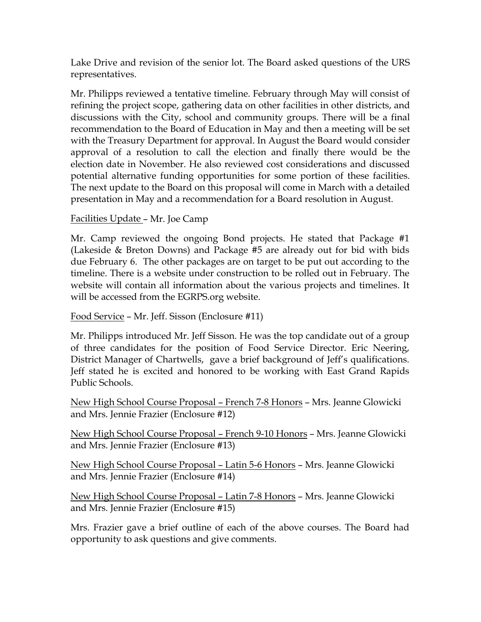Lake Drive and revision of the senior lot. The Board asked questions of the URS representatives.

Mr. Philipps reviewed a tentative timeline. February through May will consist of refining the project scope, gathering data on other facilities in other districts, and discussions with the City, school and community groups. There will be a final recommendation to the Board of Education in May and then a meeting will be set with the Treasury Department for approval. In August the Board would consider approval of a resolution to call the election and finally there would be the election date in November. He also reviewed cost considerations and discussed potential alternative funding opportunities for some portion of these facilities. The next update to the Board on this proposal will come in March with a detailed presentation in May and a recommendation for a Board resolution in August.

# Facilities Update – Mr. Joe Camp

Mr. Camp reviewed the ongoing Bond projects. He stated that Package #1 (Lakeside & Breton Downs) and Package #5 are already out for bid with bids due February 6. The other packages are on target to be put out according to the timeline. There is a website under construction to be rolled out in February. The website will contain all information about the various projects and timelines. It will be accessed from the EGRPS.org website.

# Food Service – Mr. Jeff. Sisson (Enclosure #11)

Mr. Philipps introduced Mr. Jeff Sisson. He was the top candidate out of a group of three candidates for the position of Food Service Director. Eric Neering, District Manager of Chartwells, gave a brief background of Jeff's qualifications. Jeff stated he is excited and honored to be working with East Grand Rapids Public Schools.

New High School Course Proposal – French 7-8 Honors – Mrs. Jeanne Glowicki and Mrs. Jennie Frazier (Enclosure #12)

New High School Course Proposal – French 9-10 Honors – Mrs. Jeanne Glowicki and Mrs. Jennie Frazier (Enclosure #13)

New High School Course Proposal – Latin 5-6 Honors – Mrs. Jeanne Glowicki and Mrs. Jennie Frazier (Enclosure #14)

New High School Course Proposal – Latin 7-8 Honors – Mrs. Jeanne Glowicki and Mrs. Jennie Frazier (Enclosure #15)

Mrs. Frazier gave a brief outline of each of the above courses. The Board had opportunity to ask questions and give comments.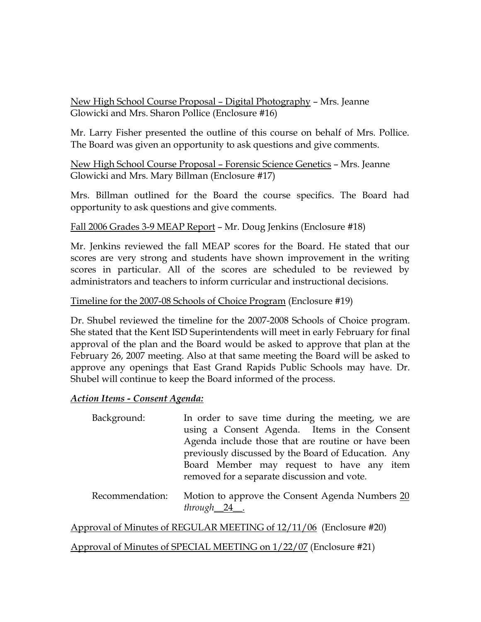New High School Course Proposal – Digital Photography – Mrs. Jeanne Glowicki and Mrs. Sharon Pollice (Enclosure #16)

Mr. Larry Fisher presented the outline of this course on behalf of Mrs. Pollice. The Board was given an opportunity to ask questions and give comments.

New High School Course Proposal – Forensic Science Genetics – Mrs. Jeanne Glowicki and Mrs. Mary Billman (Enclosure #17)

Mrs. Billman outlined for the Board the course specifics. The Board had opportunity to ask questions and give comments.

# Fall 2006 Grades 3-9 MEAP Report – Mr. Doug Jenkins (Enclosure #18)

Mr. Jenkins reviewed the fall MEAP scores for the Board. He stated that our scores are very strong and students have shown improvement in the writing scores in particular. All of the scores are scheduled to be reviewed by administrators and teachers to inform curricular and instructional decisions.

### Timeline for the 2007-08 Schools of Choice Program (Enclosure #19)

Dr. Shubel reviewed the timeline for the 2007-2008 Schools of Choice program. She stated that the Kent ISD Superintendents will meet in early February for final approval of the plan and the Board would be asked to approve that plan at the February 26, 2007 meeting. Also at that same meeting the Board will be asked to approve any openings that East Grand Rapids Public Schools may have. Dr. Shubel will continue to keep the Board informed of the process.

### *Action Items - Consent Agenda:*

| In order to save time during the meeting, we are    |
|-----------------------------------------------------|
| using a Consent Agenda. Items in the Consent        |
| Agenda include those that are routine or have been  |
| previously discussed by the Board of Education. Any |
| Board Member may request to have any item           |
| removed for a separate discussion and vote.         |
|                                                     |

Recommendation: Motion to approve the Consent Agenda Numbers 20 *through*\_\_24\_\_.

Approval of Minutes of REGULAR MEETING of 12/11/06 (Enclosure #20)

Approval of Minutes of SPECIAL MEETING on 1/22/07 (Enclosure #21)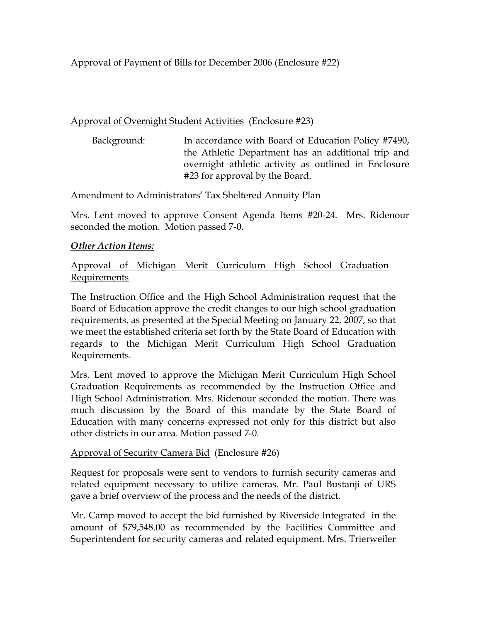# Approval of Payment of Bills for December 2006 (Enclosure #22)

# Approval of Overnight Student Activities (Enclosure #23)

 Background: In accordance with Board of Education Policy #7490, the Athletic Department has an additional trip and overnight athletic activity as outlined in Enclosure #23 for approval by the Board.

### Amendment to Administrators' Tax Sheltered Annuity Plan

Mrs. Lent moved to approve Consent Agenda Items #20-24. Mrs. Ridenour seconded the motion. Motion passed 7-0.

### *Other Action Items:*

# Approval of Michigan Merit Curriculum High School Graduation Requirements

The Instruction Office and the High School Administration request that the Board of Education approve the credit changes to our high school graduation requirements, as presented at the Special Meeting on January 22, 2007, so that we meet the established criteria set forth by the State Board of Education with regards to the Michigan Merit Curriculum High School Graduation Requirements.

Mrs. Lent moved to approve the Michigan Merit Curriculum High School Graduation Requirements as recommended by the Instruction Office and High School Administration. Mrs. Ridenour seconded the motion. There was much discussion by the Board of this mandate by the State Board of Education with many concerns expressed not only for this district but also other districts in our area. Motion passed 7-0.

# Approval of Security Camera Bid (Enclosure #26)

Request for proposals were sent to vendors to furnish security cameras and related equipment necessary to utilize cameras. Mr. Paul Bustanji of URS gave a brief overview of the process and the needs of the district.

Mr. Camp moved to accept the bid furnished by Riverside Integrated in the amount of \$79,548.00 as recommended by the Facilities Committee and Superintendent for security cameras and related equipment. Mrs. Trierweiler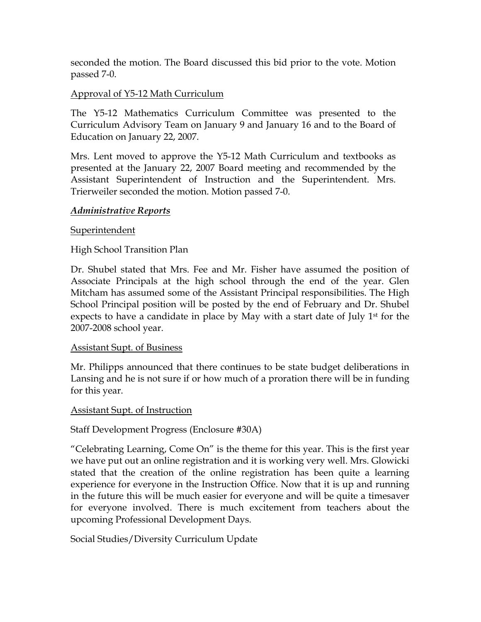seconded the motion. The Board discussed this bid prior to the vote. Motion passed 7-0.

# Approval of Y5-12 Math Curriculum

The Y5-12 Mathematics Curriculum Committee was presented to the Curriculum Advisory Team on January 9 and January 16 and to the Board of Education on January 22, 2007.

Mrs. Lent moved to approve the Y5-12 Math Curriculum and textbooks as presented at the January 22, 2007 Board meeting and recommended by the Assistant Superintendent of Instruction and the Superintendent. Mrs. Trierweiler seconded the motion. Motion passed 7-0.

### *Administrative Reports*

### Superintendent

# High School Transition Plan

Dr. Shubel stated that Mrs. Fee and Mr. Fisher have assumed the position of Associate Principals at the high school through the end of the year. Glen Mitcham has assumed some of the Assistant Principal responsibilities. The High School Principal position will be posted by the end of February and Dr. Shubel expects to have a candidate in place by May with a start date of July  $1<sup>st</sup>$  for the 2007-2008 school year.

### Assistant Supt. of Business

Mr. Philipps announced that there continues to be state budget deliberations in Lansing and he is not sure if or how much of a proration there will be in funding for this year.

### Assistant Supt. of Instruction

### Staff Development Progress (Enclosure #30A)

"Celebrating Learning, Come On" is the theme for this year. This is the first year we have put out an online registration and it is working very well. Mrs. Glowicki stated that the creation of the online registration has been quite a learning experience for everyone in the Instruction Office. Now that it is up and running in the future this will be much easier for everyone and will be quite a timesaver for everyone involved. There is much excitement from teachers about the upcoming Professional Development Days.

Social Studies/Diversity Curriculum Update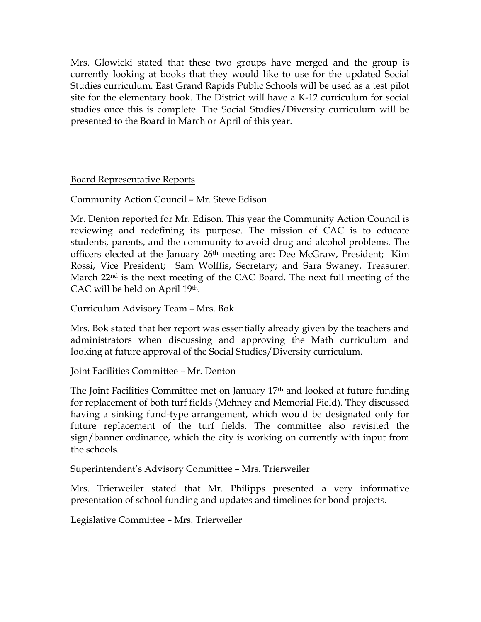Mrs. Glowicki stated that these two groups have merged and the group is currently looking at books that they would like to use for the updated Social Studies curriculum. East Grand Rapids Public Schools will be used as a test pilot site for the elementary book. The District will have a K-12 curriculum for social studies once this is complete. The Social Studies/Diversity curriculum will be presented to the Board in March or April of this year.

Board Representative Reports

Community Action Council – Mr. Steve Edison

Mr. Denton reported for Mr. Edison. This year the Community Action Council is reviewing and redefining its purpose. The mission of CAC is to educate students, parents, and the community to avoid drug and alcohol problems. The officers elected at the January 26<sup>th</sup> meeting are: Dee McGraw, President; Kim Rossi, Vice President; Sam Wolffis, Secretary; and Sara Swaney, Treasurer. March 22nd is the next meeting of the CAC Board. The next full meeting of the CAC will be held on April 19th.

Curriculum Advisory Team – Mrs. Bok

Mrs. Bok stated that her report was essentially already given by the teachers and administrators when discussing and approving the Math curriculum and looking at future approval of the Social Studies/Diversity curriculum.

Joint Facilities Committee – Mr. Denton

The Joint Facilities Committee met on January 17th and looked at future funding for replacement of both turf fields (Mehney and Memorial Field). They discussed having a sinking fund-type arrangement, which would be designated only for future replacement of the turf fields. The committee also revisited the sign/banner ordinance, which the city is working on currently with input from the schools.

Superintendent's Advisory Committee – Mrs. Trierweiler

Mrs. Trierweiler stated that Mr. Philipps presented a very informative presentation of school funding and updates and timelines for bond projects.

Legislative Committee – Mrs. Trierweiler